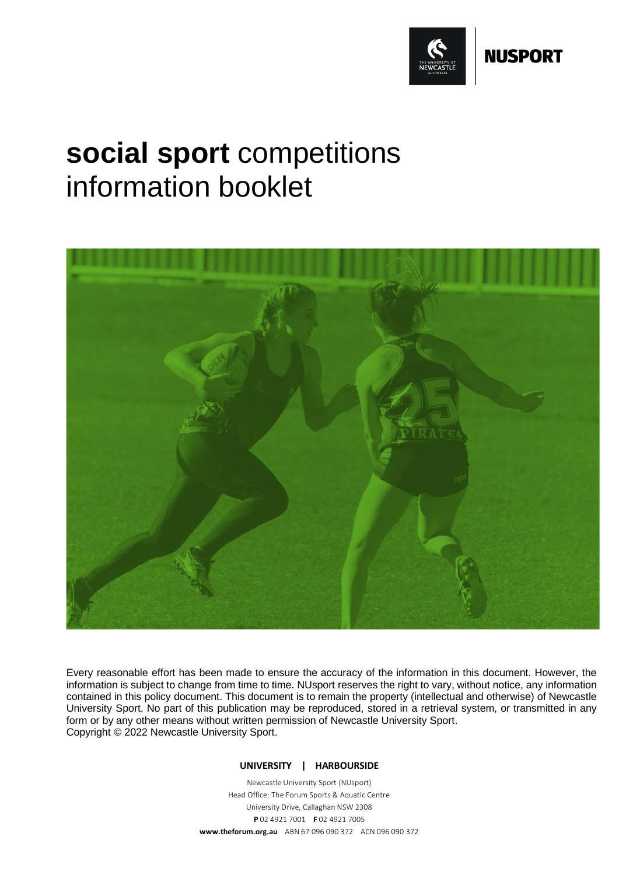

# **social sport** competitions information booklet



Every reasonable effort has been made to ensure the accuracy of the information in this document. However, the information is subject to change from time to time. NUsport reserves the right to vary, without notice, any information contained in this policy document. This document is to remain the property (intellectual and otherwise) of Newcastle University Sport. No part of this publication may be reproduced, stored in a retrieval system, or transmitted in any form or by any other means without written permission of Newcastle University Sport. Copyright © 2022 Newcastle University Sport.

# **UNIVERSITY | HARBOURSIDE**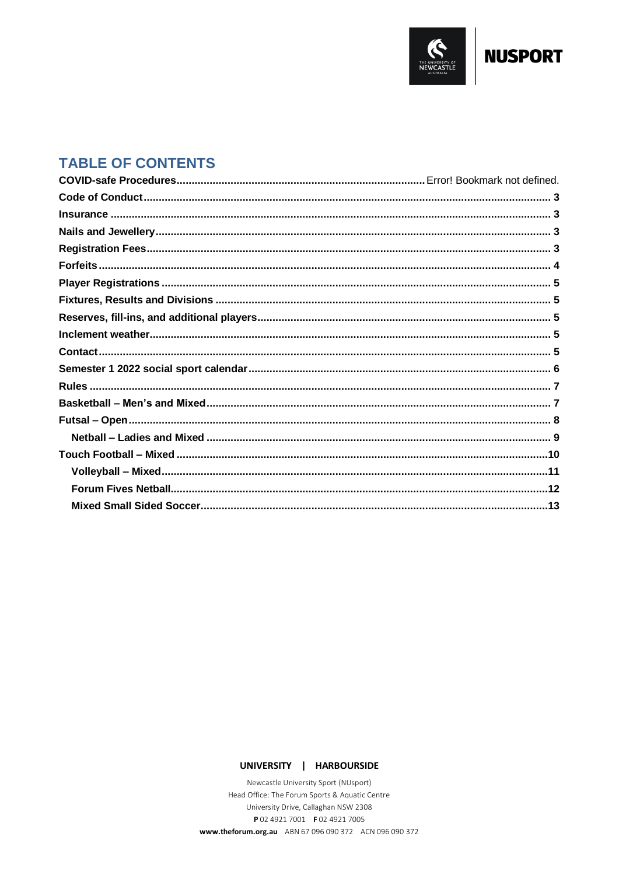

# **NUSPORT**

# **TABLE OF CONTENTS**

# UNIVERSITY | HARBOURSIDE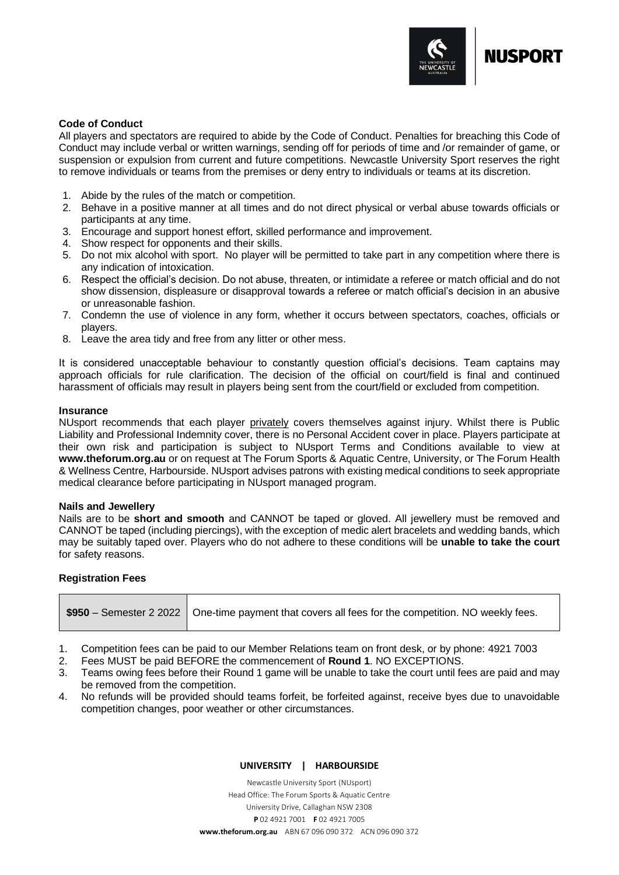

# <span id="page-2-0"></span>**Code of Conduct**

All players and spectators are required to abide by the Code of Conduct. Penalties for breaching this Code of Conduct may include verbal or written warnings, sending off for periods of time and /or remainder of game, or suspension or expulsion from current and future competitions. Newcastle University Sport reserves the right to remove individuals or teams from the premises or deny entry to individuals or teams at its discretion.

- 1. Abide by the rules of the match or competition.
- 2. Behave in a positive manner at all times and do not direct physical or verbal abuse towards officials or participants at any time.
- 3. Encourage and support honest effort, skilled performance and improvement.
- 4. Show respect for opponents and their skills.
- 5. Do not mix alcohol with sport. No player will be permitted to take part in any competition where there is any indication of intoxication.
- 6. Respect the official's decision. Do not abuse, threaten, or intimidate a referee or match official and do not show dissension, displeasure or disapproval towards a referee or match official's decision in an abusive or unreasonable fashion.
- 7. Condemn the use of violence in any form, whether it occurs between spectators, coaches, officials or players.
- 8. Leave the area tidy and free from any litter or other mess.

It is considered unacceptable behaviour to constantly question official's decisions. Team captains may approach officials for rule clarification. The decision of the official on court/field is final and continued harassment of officials may result in players being sent from the court/field or excluded from competition.

# <span id="page-2-1"></span>**Insurance**

NUsport recommends that each player privately covers themselves against injury. Whilst there is Public Liability and Professional Indemnity cover, there is no Personal Accident cover in place. Players participate at their own risk and participation is subject to NUsport Terms and Conditions available to view at **[www.theforum.org.au](http://www.theforum.org.au/)** or on request at The Forum Sports & Aquatic Centre, University, or The Forum Health & Wellness Centre, Harbourside. NUsport advises patrons with existing medical conditions to seek appropriate medical clearance before participating in NUsport managed program.

# <span id="page-2-2"></span>**Nails and Jewellery**

Nails are to be **short and smooth** and CANNOT be taped or gloved. All jewellery must be removed and CANNOT be taped (including piercings), with the exception of medic alert bracelets and wedding bands, which may be suitably taped over. Players who do not adhere to these conditions will be **unable to take the court** for safety reasons.

# <span id="page-2-3"></span>**Registration Fees**

| $\sqrt{3950}$ – Semester 2 2022   One-time payment that covers all fees for the competition. NO weekly fees. |
|--------------------------------------------------------------------------------------------------------------|
|--------------------------------------------------------------------------------------------------------------|

- 1. Competition fees can be paid to our Member Relations team on front desk, or by phone: 4921 7003
- 2. Fees MUST be paid BEFORE the commencement of **Round 1**. NO EXCEPTIONS.
- 3. Teams owing fees before their Round 1 game will be unable to take the court until fees are paid and may be removed from the competition.
- 4. No refunds will be provided should teams forfeit, be forfeited against, receive byes due to unavoidable competition changes, poor weather or other circumstances.

# **UNIVERSITY | HARBOURSIDE**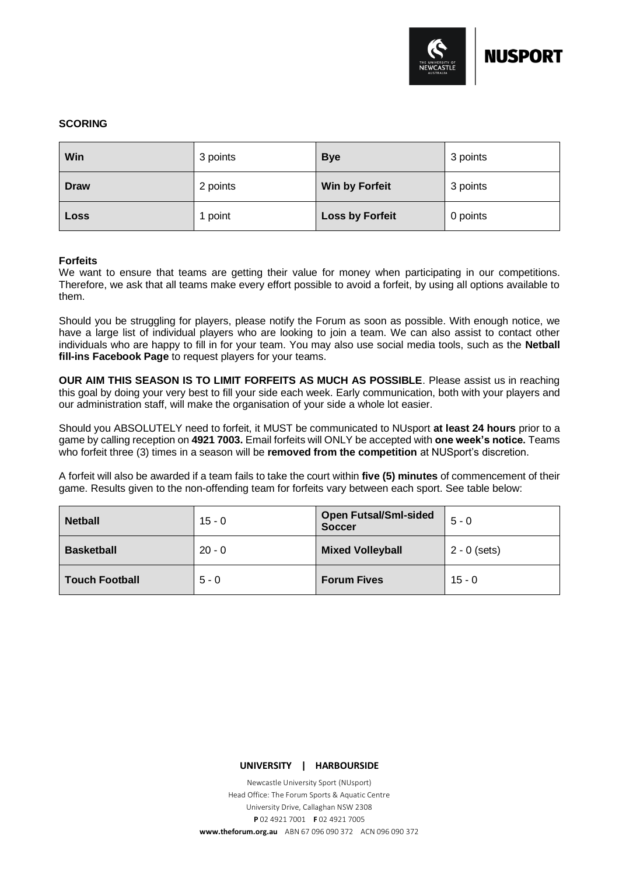

# **SCORING**

| Win         | 3 points | <b>Bye</b>             | 3 points |
|-------------|----------|------------------------|----------|
| <b>Draw</b> | 2 points | Win by Forfeit         | 3 points |
| Loss        | 1 point  | <b>Loss by Forfeit</b> | 0 points |

# <span id="page-3-0"></span>**Forfeits**

We want to ensure that teams are getting their value for money when participating in our competitions. Therefore, we ask that all teams make every effort possible to avoid a forfeit, by using all options available to them.

Should you be struggling for players, please notify the Forum as soon as possible. With enough notice, we have a large list of individual players who are looking to join a team. We can also assist to contact other individuals who are happy to fill in for your team. You may also use social media tools, such as the **Netball fill-ins Facebook Page** to request players for your teams.

**OUR AIM THIS SEASON IS TO LIMIT FORFEITS AS MUCH AS POSSIBLE**. Please assist us in reaching this goal by doing your very best to fill your side each week. Early communication, both with your players and our administration staff, will make the organisation of your side a whole lot easier.

Should you ABSOLUTELY need to forfeit, it MUST be communicated to NUsport **at least 24 hours** prior to a game by calling reception on **4921 7003.** Email forfeits will ONLY be accepted with **one week's notice.** Teams who forfeit three (3) times in a season will be **removed from the competition** at NUSport's discretion.

A forfeit will also be awarded if a team fails to take the court within **five (5) minutes** of commencement of their game. Results given to the non-offending team for forfeits vary between each sport. See table below:

| <b>Netball</b>        | 15 - 0   | <b>Open Futsal/Sml-sided</b><br><b>Soccer</b> | $5 - 0$        |  |
|-----------------------|----------|-----------------------------------------------|----------------|--|
| <b>Basketball</b>     | $20 - 0$ | <b>Mixed Volleyball</b>                       | $2 - 0$ (sets) |  |
| <b>Touch Football</b> | $5 - 0$  | <b>Forum Fives</b>                            | $15 - 0$       |  |

**UNIVERSITY | HARBOURSIDE**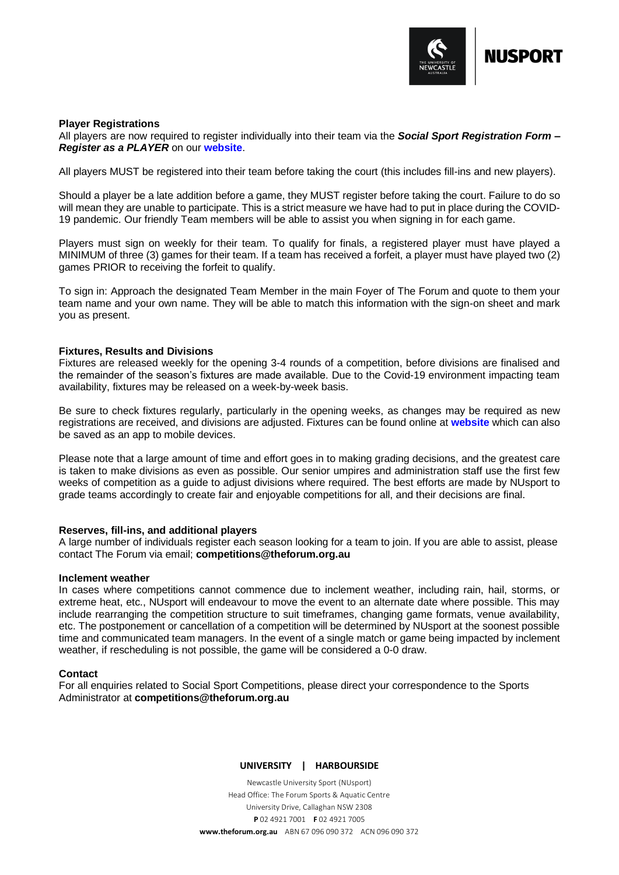

#### <span id="page-4-0"></span>**Player Registrations**

All players are now required to register individually into their team via the *Social Sport Registration Form – Register as a PLAYER* on our **[website](https://www.theforum.org.au/social-sport/)**.

All players MUST be registered into their team before taking the court (this includes fill-ins and new players).

Should a player be a late addition before a game, they MUST register before taking the court. Failure to do so will mean they are unable to participate. This is a strict measure we have had to put in place during the COVID-19 pandemic. Our friendly Team members will be able to assist you when signing in for each game.

Players must sign on weekly for their team. To qualify for finals, a registered player must have played a MINIMUM of three (3) games for their team. If a team has received a forfeit, a player must have played two (2) games PRIOR to receiving the forfeit to qualify.

To sign in: Approach the designated Team Member in the main Foyer of The Forum and quote to them your team name and your own name. They will be able to match this information with the sign-on sheet and mark you as present.

#### <span id="page-4-1"></span>**Fixtures, Results and Divisions**

Fixtures are released weekly for the opening 3-4 rounds of a competition, before divisions are finalised and the remainder of the season's fixtures are made available. Due to the Covid-19 environment impacting team availability, fixtures may be released on a week-by-week basis.

Be sure to check fixtures regularly, particularly in the opening weeks, as changes may be required as new registrations are received, and divisions are adjusted. Fixtures can be found online at **[website](https://www.theforum.org.au/social-sport/)** which can also be saved as an app to mobile devices.

Please note that a large amount of time and effort goes in to making grading decisions, and the greatest care is taken to make divisions as even as possible. Our senior umpires and administration staff use the first few weeks of competition as a guide to adjust divisions where required. The best efforts are made by NUsport to grade teams accordingly to create fair and enjoyable competitions for all, and their decisions are final.

# <span id="page-4-2"></span>**Reserves, fill-ins, and additional players**

A large number of individuals register each season looking for a team to join. If you are able to assist, please contact The Forum via email; **[competitions@theforum.org.au](mailto:competitions@theforum.org.au)**

#### <span id="page-4-3"></span>**Inclement weather**

In cases where competitions cannot commence due to inclement weather, including rain, hail, storms, or extreme heat, etc., NUsport will endeavour to move the event to an alternate date where possible. This may include rearranging the competition structure to suit timeframes, changing game formats, venue availability, etc. The postponement or cancellation of a competition will be determined by NUsport at the soonest possible time and communicated team managers. In the event of a single match or game being impacted by inclement weather, if rescheduling is not possible, the game will be considered a 0-0 draw.

# <span id="page-4-4"></span>**Contact**

For all enquiries related to Social Sport Competitions, please direct your correspondence to the Sports Administrator at **[competitions@theforum.org.au](mailto:competitions@theforum.org.au)**

#### **UNIVERSITY | HARBOURSIDE**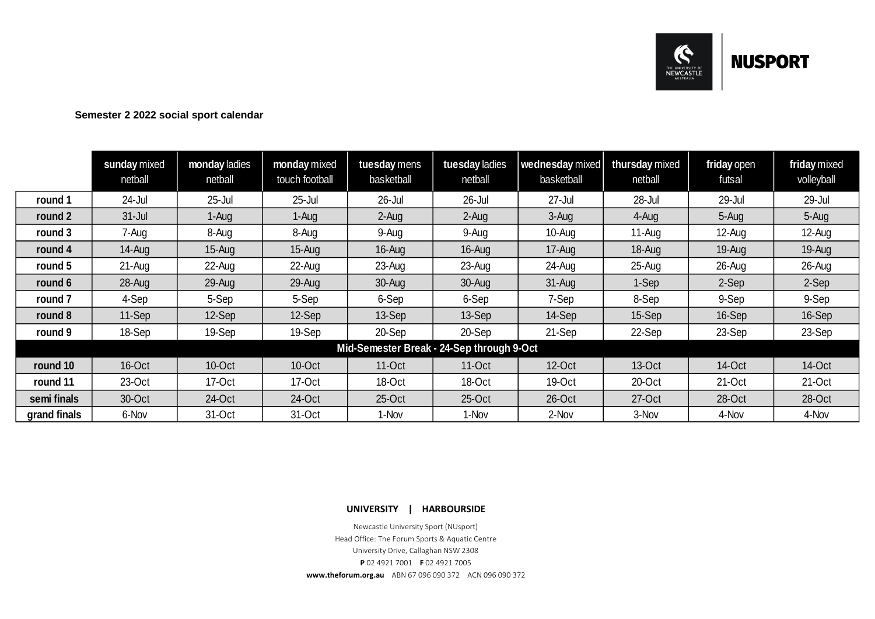

# **Semester 2 2022 social sport calendar**

<span id="page-5-0"></span>

|                                           | sunday mixed<br>netball | monday ladies<br>netball | monday mixed<br>touch football | tuesday mens<br>basketball | tuesday ladies<br>netball | wednesday mixed<br>basketball | thursday mixed<br>netball | friday open<br>futsal | friday mixed<br>volleyball |
|-------------------------------------------|-------------------------|--------------------------|--------------------------------|----------------------------|---------------------------|-------------------------------|---------------------------|-----------------------|----------------------------|
| round 1                                   | 24-Jul                  | $25 -$ Jul               | $25 -$ Jul                     | 26-Jul                     | 26-Jul                    | $27 -$ Jul                    | 28-Jul                    | 29-Jul                | 29-Jul                     |
| round 2                                   | $31 -$ Jul              | 1-Aug                    | 1-Aug                          | $2-Auq$                    | 2-Aug                     | 3-Aug                         | 4-Aug                     | 5-Aug                 | 5-Aug                      |
| round 3                                   | 7-Aug                   | 8-Aug                    | 8-Aug                          | 9-Aug                      | 9-Aug                     | 10-Aug                        | 11-Aug                    | 12-Aug                | 12-Aug                     |
| round 4                                   | 14-Aug                  | $15$ -Aug                | 15-Aug                         | 16-Aug                     | 16-Aug                    | 17-Aug                        | 18-Aug                    | 19-Aug                | 19-Aug                     |
| round 5                                   | $21 - Aug$              | 22-Aug                   | 22-Aug                         | 23-Aug                     | 23-Aug                    | 24-Aug                        | 25-Aug                    | 26-Aug                | 26-Aug                     |
| round 6                                   | 28-Aug                  | 29-Aug                   | 29-Aug                         | 30-Aug                     | 30-Aug                    | $31 - Aug$                    | 1-Sep                     | 2-Sep                 | 2-Sep                      |
| round 7                                   | 4-Sep                   | 5-Sep                    | 5-Sep                          | 6-Sep                      | 6-Sep                     | 7-Sep                         | 8-Sep                     | 9-Sep                 | 9-Sep                      |
| round 8                                   | 11-Sep                  | 12-Sep                   | 12-Sep                         | 13-Sep                     | 13-Sep                    | 14-Sep                        | 15-Sep                    | 16-Sep                | 16-Sep                     |
| round 9                                   | 18-Sep                  | 19-Sep                   | 19-Sep                         | 20-Sep                     | 20-Sep                    | 21-Sep                        | 22-Sep                    | 23-Sep                | 23-Sep                     |
| Mid-Semester Break - 24-Sep through 9-Oct |                         |                          |                                |                            |                           |                               |                           |                       |                            |
| round 10                                  | 16-Oct                  | 10-Oct                   | 10-Oct                         | 11-Oct                     | 11-Oct                    | $12$ -Oct                     | 13-Oct                    | 14-Oct                | 14-Oct                     |
| round 11                                  | 23-Oct                  | 17-Oct                   | 17-Oct                         | 18-Oct                     | 18-Oct                    | 19-Oct                        | 20-Oct                    | 21-Oct                | 21-Oct                     |
| semi finals                               | 30-Oct                  | 24-Oct                   | 24-Oct                         | 25-Oct                     | $25$ -Oct                 | 26-Oct                        | 27-Oct                    | 28-Oct                | 28-Oct                     |
| grand finals                              | 6-Nov                   | 31-Oct                   | 31-Oct                         | 1-Nov                      | 1-Nov                     | 2-Nov                         | 3-Nov                     | 4-Nov                 | 4-Nov                      |

**UNIVERSITY | HARBOURSIDE**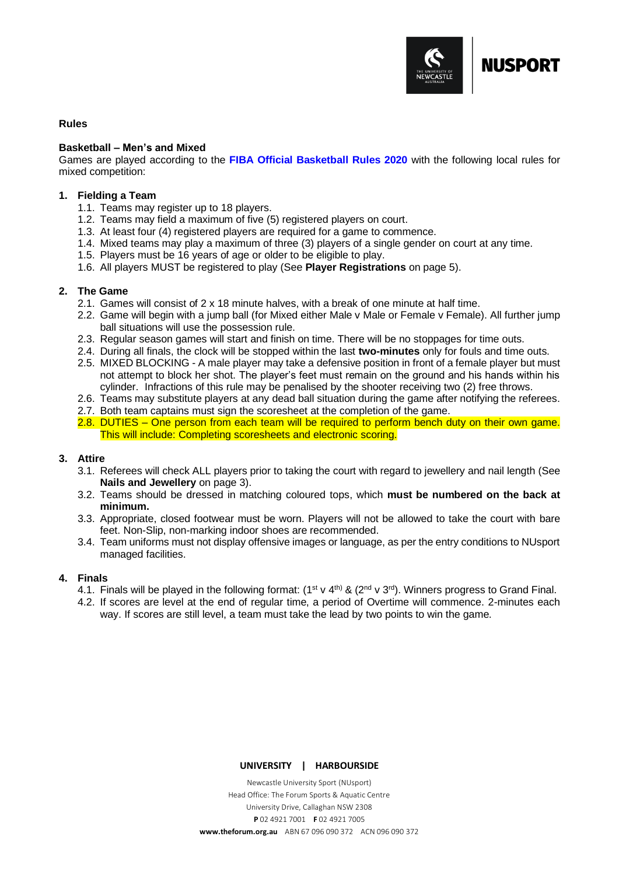

# <span id="page-6-0"></span>**Rules**

#### <span id="page-6-1"></span>**Basketball – Men's and Mixed**

Games are played according to the **[FIBA Official Basketball Rules 2020](http://www.fiba.basketball/documents/official-basketball-rules-2020-official-interpretations.pdf)** with the following local rules for mixed competition:

#### **1. Fielding a Team**

- 1.1. Teams may register up to 18 players.
- 1.2. Teams may field a maximum of five (5) registered players on court.
- 1.3. At least four (4) registered players are required for a game to commence.
- 1.4. Mixed teams may play a maximum of three (3) players of a single gender on court at any time.
- 1.5. Players must be 16 years of age or older to be eligible to play.
- 1.6. All players MUST be registered to play (See **Player Registrations** on page 5).

# **2. The Game**

- 2.1. Games will consist of 2 x 18 minute halves, with a break of one minute at half time.
- 2.2. Game will begin with a jump ball (for Mixed either Male v Male or Female v Female). All further jump ball situations will use the possession rule.
- 2.3. Regular season games will start and finish on time. There will be no stoppages for time outs.
- 2.4. During all finals, the clock will be stopped within the last **two-minutes** only for fouls and time outs.
- 2.5. MIXED BLOCKING A male player may take a defensive position in front of a female player but must not attempt to block her shot. The player's feet must remain on the ground and his hands within his cylinder. Infractions of this rule may be penalised by the shooter receiving two (2) free throws.
- 2.6. Teams may substitute players at any dead ball situation during the game after notifying the referees.
- 2.7. Both team captains must sign the scoresheet at the completion of the game.
- 2.8. DUTIES One person from each team will be required to perform bench duty on their own game. This will include: Completing scoresheets and electronic scoring.

# **3. Attire**

- 3.1. Referees will check ALL players prior to taking the court with regard to jewellery and nail length (See **Nails and Jewellery** on page 3).
- 3.2. Teams should be dressed in matching coloured tops, which **must be numbered on the back at minimum.**
- 3.3. Appropriate, closed footwear must be worn. Players will not be allowed to take the court with bare feet. Non-Slip, non-marking indoor shoes are recommended.
- 3.4. Team uniforms must not display offensive images or language, as per the entry conditions to NUsport managed facilities.

# **4. Finals**

- 4.1. Finals will be played in the following format:  $(1^{st} \vee 4^{th})$  &  $(2^{nd} \vee 3^{rd})$ . Winners progress to Grand Final.
- 4.2. If scores are level at the end of regular time, a period of Overtime will commence. 2-minutes each way. If scores are still level, a team must take the lead by two points to win the game.

**UNIVERSITY | HARBOURSIDE**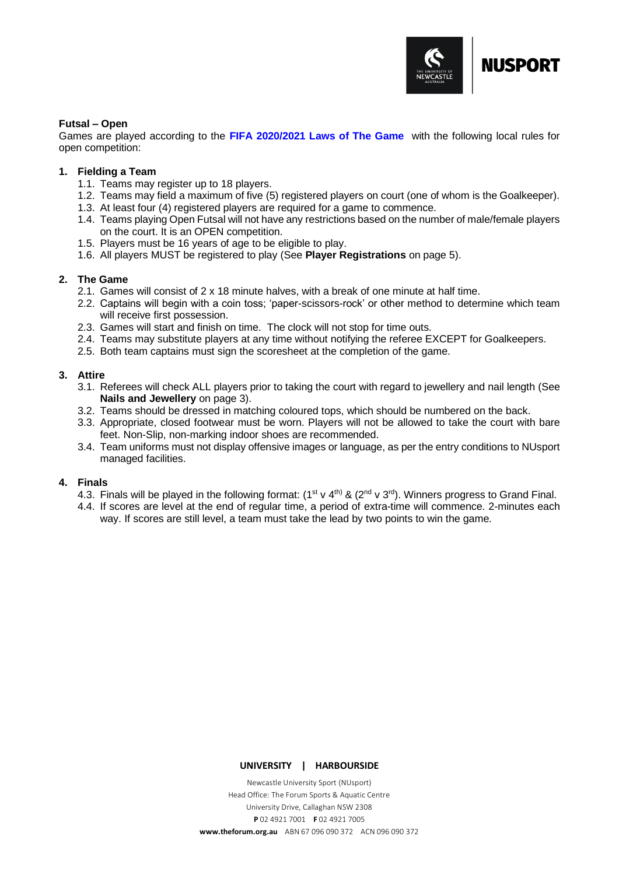

# <span id="page-7-0"></span>**Futsal – Open**

Games are played according to the **[FIFA 2020/2021 Laws of The Game](https://digitalhub.fifa.com/m/696d0a3986700a31/original/smrcs2kmmsngmf5tf1fi-pdf.pdf)** with the following local rules for open competition:

# **1. Fielding a Team**

- 1.1. Teams may register up to 18 players.
- 1.2. Teams may field a maximum of five (5) registered players on court (one of whom is the Goalkeeper).
- 1.3. At least four (4) registered players are required for a game to commence.
- 1.4. Teams playing Open Futsal will not have any restrictions based on the number of male/female players on the court. It is an OPEN competition.
- 1.5. Players must be 16 years of age to be eligible to play.
- 1.6. All players MUST be registered to play (See **Player Registrations** on page 5).

# **2. The Game**

- 2.1. Games will consist of 2 x 18 minute halves, with a break of one minute at half time.
- 2.2. Captains will begin with a coin toss; 'paper-scissors-rock' or other method to determine which team will receive first possession.
- 2.3. Games will start and finish on time. The clock will not stop for time outs.
- 2.4. Teams may substitute players at any time without notifying the referee EXCEPT for Goalkeepers.
- 2.5. Both team captains must sign the scoresheet at the completion of the game.

# **3. Attire**

- 3.1. Referees will check ALL players prior to taking the court with regard to jewellery and nail length (See **Nails and Jewellery** on page 3).
- 3.2. Teams should be dressed in matching coloured tops, which should be numbered on the back.
- 3.3. Appropriate, closed footwear must be worn. Players will not be allowed to take the court with bare feet. Non-Slip, non-marking indoor shoes are recommended.
- 3.4. Team uniforms must not display offensive images or language, as per the entry conditions to NUsport managed facilities.

# **4. Finals**

- 4.3. Finals will be played in the following format:  $(1^{st} \vee 4^{th})$  &  $(2^{nd} \vee 3^{rd})$ . Winners progress to Grand Final.
- 4.4. If scores are level at the end of regular time, a period of extra-time will commence. 2-minutes each way. If scores are still level, a team must take the lead by two points to win the game.

# **UNIVERSITY | HARBOURSIDE**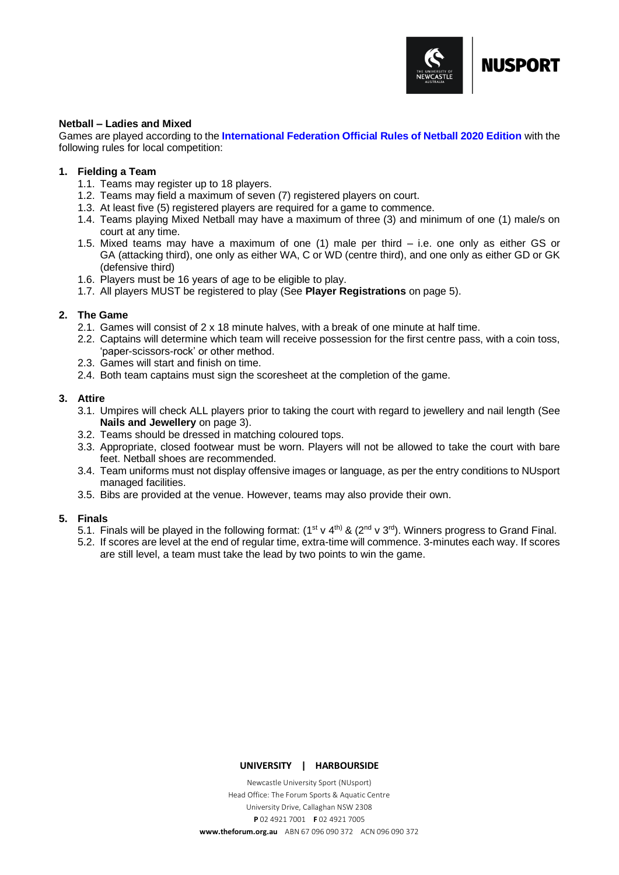

# <span id="page-8-0"></span>**Netball – Ladies and Mixed**

Games are played according to the **[International Federation Official Rules of Netball 2020 Edition](https://netball.sport/game/the-rules-of-netball)** with the following rules for local competition:

# **1. Fielding a Team**

- 1.1. Teams may register up to 18 players.
- 1.2. Teams may field a maximum of seven (7) registered players on court.
- 1.3. At least five (5) registered players are required for a game to commence.
- 1.4. Teams playing Mixed Netball may have a maximum of three (3) and minimum of one (1) male/s on court at any time.
- 1.5. Mixed teams may have a maximum of one (1) male per third i.e. one only as either GS or GA (attacking third), one only as either WA, C or WD (centre third), and one only as either GD or GK (defensive third)
- 1.6. Players must be 16 years of age to be eligible to play.
- 1.7. All players MUST be registered to play (See **Player Registrations** on page 5).

# **2. The Game**

- 2.1. Games will consist of  $2 \times 18$  minute halves, with a break of one minute at half time.
- 2.2. Captains will determine which team will receive possession for the first centre pass, with a coin toss, 'paper-scissors-rock' or other method.
- 2.3. Games will start and finish on time.
- 2.4. Both team captains must sign the scoresheet at the completion of the game.

# **3. Attire**

- 3.1. Umpires will check ALL players prior to taking the court with regard to jewellery and nail length (See **Nails and Jewellery** on page 3).
- 3.2. Teams should be dressed in matching coloured tops.
- 3.3. Appropriate, closed footwear must be worn. Players will not be allowed to take the court with bare feet. Netball shoes are recommended.
- 3.4. Team uniforms must not display offensive images or language, as per the entry conditions to NUsport managed facilities.
- 3.5. Bibs are provided at the venue. However, teams may also provide their own.

# **5. Finals**

- 5.1. Finals will be played in the following format:  $(1^{st} \vee 4^{th})$  &  $(2^{nd} \vee 3^{rd})$ . Winners progress to Grand Final.
- 5.2. If scores are level at the end of regular time, extra-time will commence. 3-minutes each way. If scores are still level, a team must take the lead by two points to win the game.

#### **UNIVERSITY | HARBOURSIDE**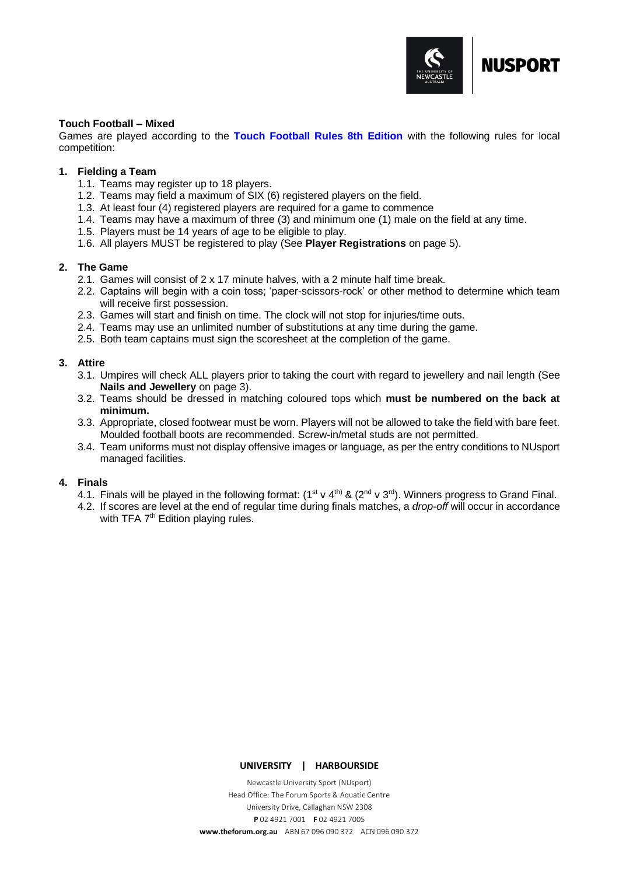

# <span id="page-9-0"></span>**Touch Football – Mixed**

Games are played according to the **[Touch Football Rules 8th Edition](https://tfa-cms.nrl.digital/media/4424/tfa-8th-edition-rulebook-a5-v6.pdf)** with the following rules for local competition:

# **1. Fielding a Team**

- 1.1. Teams may register up to 18 players.
- 1.2. Teams may field a maximum of SIX (6) registered players on the field.
- 1.3. At least four (4) registered players are required for a game to commence
- 1.4. Teams may have a maximum of three (3) and minimum one (1) male on the field at any time.
- 1.5. Players must be 14 years of age to be eligible to play.
- 1.6. All players MUST be registered to play (See **Player Registrations** on page 5).

# **2. The Game**

- 2.1. Games will consist of 2 x 17 minute halves, with a 2 minute half time break.
- 2.2. Captains will begin with a coin toss; 'paper-scissors-rock' or other method to determine which team will receive first possession.
- 2.3. Games will start and finish on time. The clock will not stop for injuries/time outs.
- 2.4. Teams may use an unlimited number of substitutions at any time during the game.
- 2.5. Both team captains must sign the scoresheet at the completion of the game.

# **3. Attire**

- 3.1. Umpires will check ALL players prior to taking the court with regard to jewellery and nail length (See **Nails and Jewellery** on page 3).
- 3.2. Teams should be dressed in matching coloured tops which **must be numbered on the back at minimum.**
- 3.3. Appropriate, closed footwear must be worn. Players will not be allowed to take the field with bare feet. Moulded football boots are recommended. Screw-in/metal studs are not permitted.
- 3.4. Team uniforms must not display offensive images or language, as per the entry conditions to NUsport managed facilities.

# **4. Finals**

- 4.1. Finals will be played in the following format:  $(1^{st} \vee 4^{th})$  &  $(2^{nd} \vee 3^{rd})$ . Winners progress to Grand Final.
- 4.2. If scores are level at the end of regular time during finals matches, a *drop-off* will occur in accordance with TFA 7<sup>th</sup> Edition playing rules.

#### **UNIVERSITY | HARBOURSIDE**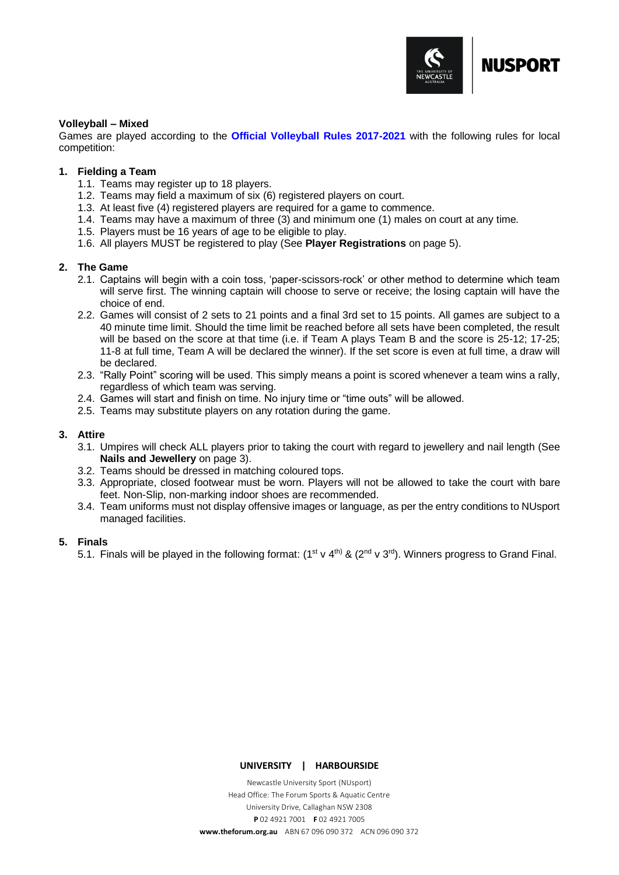

# <span id="page-10-0"></span>**Volleyball – Mixed**

Games are played according to the **[Official Volleyball Rules 2017-2021](https://www.fivb.com/en/volleyball/thegame_glossary/officialrulesofthegames)** with the following rules for local competition:

# **1. Fielding a Team**

- 1.1. Teams may register up to 18 players.
- 1.2. Teams may field a maximum of six (6) registered players on court.
- 1.3. At least five (4) registered players are required for a game to commence.
- 1.4. Teams may have a maximum of three (3) and minimum one (1) males on court at any time.
- 1.5. Players must be 16 years of age to be eligible to play.
- 1.6. All players MUST be registered to play (See **Player Registrations** on page 5).

# **2. The Game**

- 2.1. Captains will begin with a coin toss, 'paper-scissors-rock' or other method to determine which team will serve first. The winning captain will choose to serve or receive; the losing captain will have the choice of end.
- 2.2. Games will consist of 2 sets to 21 points and a final 3rd set to 15 points. All games are subject to a 40 minute time limit. Should the time limit be reached before all sets have been completed, the result will be based on the score at that time (i.e. if Team A plays Team B and the score is 25-12; 17-25; 11-8 at full time, Team A will be declared the winner). If the set score is even at full time, a draw will be declared.
- 2.3. "Rally Point" scoring will be used. This simply means a point is scored whenever a team wins a rally, regardless of which team was serving.
- 2.4. Games will start and finish on time. No injury time or "time outs" will be allowed.
- 2.5. Teams may substitute players on any rotation during the game.

# **3. Attire**

- 3.1. Umpires will check ALL players prior to taking the court with regard to jewellery and nail length (See **Nails and Jewellery** on page 3).
- 3.2. Teams should be dressed in matching coloured tops.
- 3.3. Appropriate, closed footwear must be worn. Players will not be allowed to take the court with bare feet. Non-Slip, non-marking indoor shoes are recommended.
- 3.4. Team uniforms must not display offensive images or language, as per the entry conditions to NUsport managed facilities.

# **5. Finals**

5.1. Finals will be played in the following format:  $(1^{st} \vee 4^{th})$  &  $(2^{nd} \vee 3^{rd})$ . Winners progress to Grand Final.

#### **UNIVERSITY | HARBOURSIDE**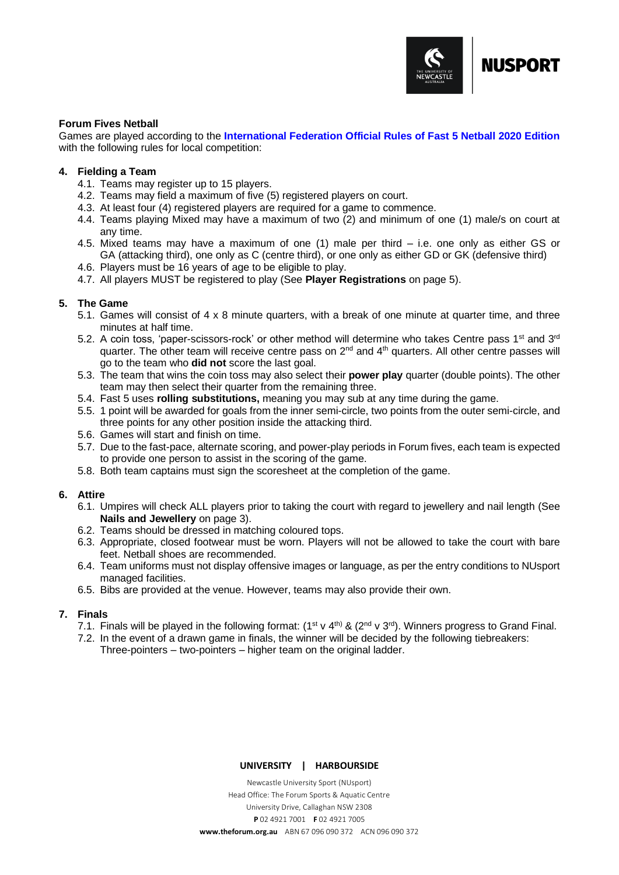

# <span id="page-11-0"></span>**Forum Fives Netball**

Games are played according to the **[International Federation Official Rules of Fast 5 Netball 2020 Edition](https://netball.sport/wp-content/uploads/2020/08/INF-Rules-of-Fast5-Netball-2020.pdf)** with the following rules for local competition:

# **4. Fielding a Team**

- 4.1. Teams may register up to 15 players.
- 4.2. Teams may field a maximum of five (5) registered players on court.
- 4.3. At least four (4) registered players are required for a game to commence.
- 4.4. Teams playing Mixed may have a maximum of two (2) and minimum of one (1) male/s on court at any time.
- 4.5. Mixed teams may have a maximum of one (1) male per third i.e. one only as either GS or GA (attacking third), one only as C (centre third), or one only as either GD or GK (defensive third)
- 4.6. Players must be 16 years of age to be eligible to play.
- 4.7. All players MUST be registered to play (See **Player Registrations** on page 5).

# **5. The Game**

- 5.1. Games will consist of 4 x 8 minute quarters, with a break of one minute at quarter time, and three minutes at half time.
- 5.2. A coin toss, 'paper-scissors-rock' or other method will determine who takes Centre pass 1<sup>st</sup> and 3<sup>rd</sup> quarter. The other team will receive centre pass on 2<sup>nd</sup> and 4<sup>th</sup> quarters. All other centre passes will go to the team who **did not** score the last goal.
- 5.3. The team that wins the coin toss may also select their **power play** quarter (double points). The other team may then select their quarter from the remaining three.
- 5.4. Fast 5 uses **rolling substitutions,** meaning you may sub at any time during the game.
- 5.5. 1 point will be awarded for goals from the inner semi-circle, two points from the outer semi-circle, and three points for any other position inside the attacking third.
- 5.6. Games will start and finish on time.
- 5.7. Due to the fast-pace, alternate scoring, and power-play periods in Forum fives, each team is expected to provide one person to assist in the scoring of the game.
- 5.8. Both team captains must sign the scoresheet at the completion of the game.

# **6. Attire**

- 6.1. Umpires will check ALL players prior to taking the court with regard to jewellery and nail length (See **Nails and Jewellery** on page 3).
- 6.2. Teams should be dressed in matching coloured tops.
- 6.3. Appropriate, closed footwear must be worn. Players will not be allowed to take the court with bare feet. Netball shoes are recommended.
- 6.4. Team uniforms must not display offensive images or language, as per the entry conditions to NUsport managed facilities.
- 6.5. Bibs are provided at the venue. However, teams may also provide their own.

# **7. Finals**

- 7.1. Finals will be played in the following format:  $(1^{st} \vee 4^{th})$  &  $(2^{nd} \vee 3^{rd})$ . Winners progress to Grand Final.
- 7.2. In the event of a drawn game in finals, the winner will be decided by the following tiebreakers: Three-pointers – two-pointers – higher team on the original ladder.

# **UNIVERSITY | HARBOURSIDE**